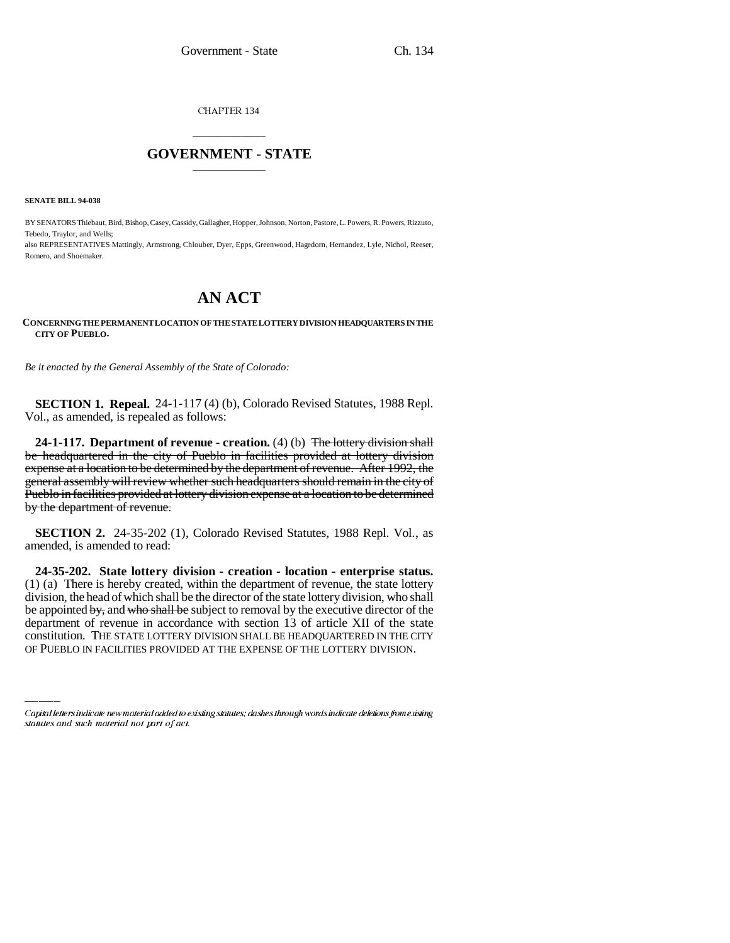CHAPTER 134

# \_\_\_\_\_\_\_\_\_\_\_\_\_\_\_ **GOVERNMENT - STATE** \_\_\_\_\_\_\_\_\_\_\_\_\_\_\_

**SENATE BILL 94-038**

BY SENATORS Thiebaut, Bird, Bishop, Casey, Cassidy, Gallagher, Hopper, Johnson, Norton, Pastore, L. Powers, R. Powers, Rizzuto, Tebedo, Traylor, and Wells; also REPRESENTATIVES Mattingly, Armstrong, Chlouber, Dyer, Epps, Greenwood, Hagedorn, Hernandez, Lyle, Nichol, Reeser,

Romero, and Shoemaker.

# **AN ACT**

### **CONCERNING THE PERMANENT LOCATION OF THE STATE LOTTERY DIVISION HEADQUARTERS IN THE CITY OF PUEBLO.**

*Be it enacted by the General Assembly of the State of Colorado:*

**SECTION 1. Repeal.** 24-1-117 (4) (b), Colorado Revised Statutes, 1988 Repl. Vol., as amended, is repealed as follows:

**24-1-117. Department of revenue - creation.** (4) (b) <del>The lottery division shall</del> be headquartered in the city of Pueblo in facilities provided at lottery division expense at a location to be determined by the department of revenue. After 1992, the general assembly will review whether such headquarters should remain in the city of Pueblo in facilities provided at lottery division expense at a location to be determined by the department of revenue.

**SECTION 2.** 24-35-202 (1), Colorado Revised Statutes, 1988 Repl. Vol., as amended, is amended to read:

be appointed by, and who shall be subject to removal by the executive director of the **24-35-202. State lottery division - creation - location - enterprise status.** (1) (a) There is hereby created, within the department of revenue, the state lottery division, the head of which shall be the director of the state lottery division, who shall department of revenue in accordance with section 13 of article XII of the state constitution. THE STATE LOTTERY DIVISION SHALL BE HEADQUARTERED IN THE CITY OF PUEBLO IN FACILITIES PROVIDED AT THE EXPENSE OF THE LOTTERY DIVISION.

Capital letters indicate new material added to existing statutes; dashes through words indicate deletions from existing statutes and such material not part of act.